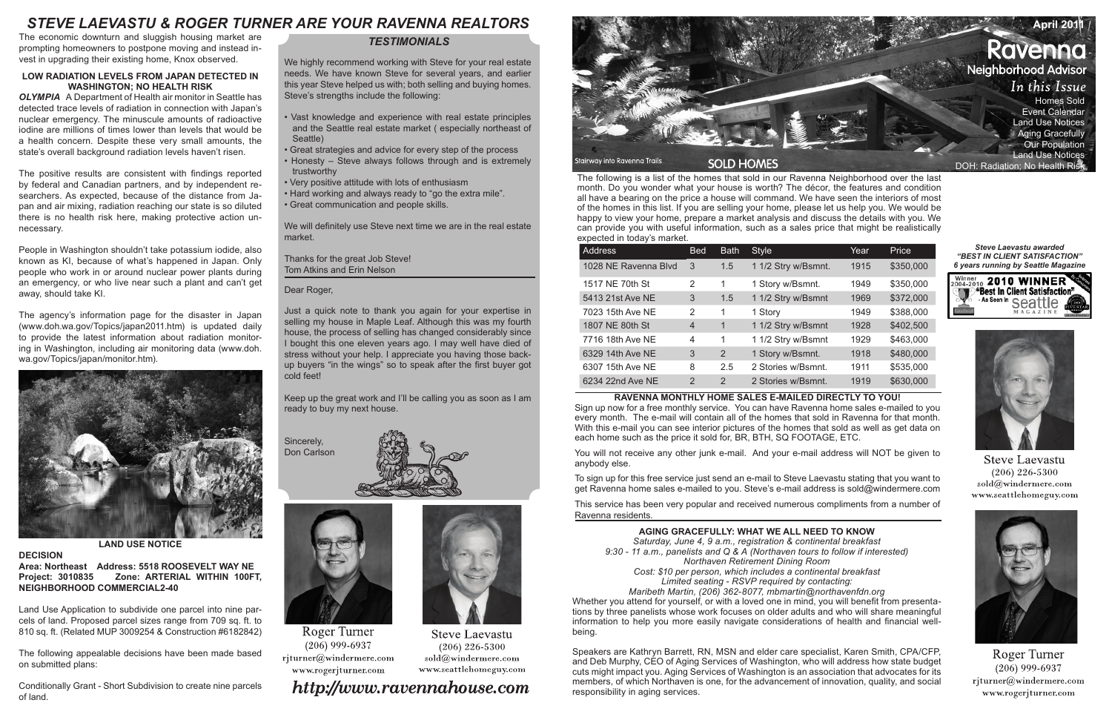# *STEVE LAEVASTU & ROGER TURNER ARE YOUR RAVENNA REALTORS* **April 2011**

The following is a list of the homes that sold in our Ravenna Neighborhood over the last month. Do you wonder what your house is worth? The décor, the features and condition all have a bearing on the price a house will command. We have seen the interiors of most of the homes in this list. If you are selling your home, please let us help you. We would be happy to view your home, prepare a market analysis and discuss the details with you. We can provide you with useful information, such as a sales price that might be realistically expected in today's market.

| Address              | <b>Bed</b> | <b>Bath</b> | <b>Style</b>        | Year | Price     |
|----------------------|------------|-------------|---------------------|------|-----------|
| 1028 NE Ravenna Blvd | 3          | 1.5         | 1 1/2 Stry w/Bsmnt. | 1915 | \$350,000 |
| 1517 NE 70th St      | 2          | 1           | 1 Story w/Bsmnt.    | 1949 | \$350,000 |
| 5413 21st Ave NE     | 3          | 1.5         | 1 1/2 Stry w/Bsmnt  | 1969 | \$372,000 |
| 7023 15th Ave NE     | 2          | 1           | 1 Story             | 1949 | \$388,000 |
| 1807 NE 80th St      | 4          | 1           | 1 1/2 Stry w/Bsmnt  | 1928 | \$402,500 |
| 7716 18th Ave NE     | 4          | 1           | 1 1/2 Stry w/Bsmnt  | 1929 | \$463,000 |
| 6329 14th Ave NE     | 3          | 2           | 1 Story w/Bsmnt.    | 1918 | \$480,000 |
| 6307 15th Ave NE     | 8          | 2.5         | 2 Stories w/Bsmnt.  | 1911 | \$535,000 |
| 6234 22nd Ave NE     | 2          | 2           | 2 Stories w/Bsmnt.  | 1919 | \$630,000 |

#### **RAVENNA MONTHLY HOME SALES E-MAILED DIRECTLY TO YOU!**

Sign up now for a free monthly service. You can have Ravenna home sales e-mailed to you every month. The e-mail will contain all of the homes that sold in Ravenna for that month. With this e-mail you can see interior pictures of the homes that sold as well as get data on each home such as the price it sold for, BR, BTH, SQ FOOTAGE, ETC.

You will not receive any other junk e-mail. And your e-mail address will NOT be given to anybody else.

To sign up for this free service just send an e-mail to Steve Laevastu stating that you want to get Ravenna home sales e-mailed to you. Steve's e-mail address is sold@windermere.com

This service has been very popular and received numerous compliments from a number of Ravenna residents.

## *TESTIMONIALS*

We highly recommend working with Steve for your real estate needs. We have known Steve for several years, and earlier this year Steve helped us with; both selling and buying homes. Steve's strengths include the following:

- Vast knowledge and experience with real estate principles and the Seattle real estate market ( especially northeast of Seattle)
- Great strategies and advice for every step of the process
- Honesty Steve always follows through and is extremely trustworthy
- Very positive attitude with lots of enthusiasm
- Hard working and always ready to "go the extra mile".
- Great communication and people skills.

We will definitely use Steve next time we are in the real estate market.

Thanks for the great Job Steve! Tom Atkins and Erin Nelson

#### Dear Roger,

Just a quick note to thank you again for your expertise in selling my house in Maple Leaf. Although this was my fourth house, the process of selling has changed considerably since I bought this one eleven years ago. I may well have died of stress without your help. I appreciate you having those backup buyers "in the wings" so to speak after the first buyer got cold feet!

Keep up the great work and I'll be calling you as soon as I am ready to buy my next house.

Sincerely, Don Carlson





**Roger Turner**  $(206)$  999-6937 rjturner@windermere.com www.rogerjturner.com

# http://www.ravennahouse.com

**Steve Laevastu** 

 $(206)$  226-5300

sold@windermere.com

www.seattlehomeguy.com



#### *Steve Laevastu awarded "BEST IN CLIENT SATISFACTION" 6 years running by Seattle Magazine*





**Steve Laevastu**  $(206)$  226-5300 sold@windermere.com www.seattlehomeguy.com



Roger Turner  $(206)$  999-6937 rjturner@windermere.com www.rogerjturner.com

#### **LOW RADIATION LEVELS FROM JAPAN DETECTED IN WASHINGTON; NO HEALTH RISK**

*OLYMPIA* A Department of Health air monitor in Seattle has detected trace levels of radiation in connection with Japan's nuclear emergency. The minuscule amounts of radioactive iodine are millions of times lower than levels that would be a health concern. Despite these very small amounts, the state's overall background radiation levels haven't risen.

The positive results are consistent with findings reported by federal and Canadian partners, and by independent researchers. As expected, because of the distance from Japan and air mixing, radiation reaching our state is so diluted there is no health risk here, making protective action unnecessary.

People in Washington shouldn't take potassium iodide, also known as KI, because of what's happened in Japan. Only people who work in or around nuclear power plants during an emergency, or who live near such a plant and can't get away, should take KI.

The agency's information page for the disaster in Japan (www.doh.wa.gov/Topics/japan2011.htm) is updated daily to provide the latest information about radiation monitoring in Washington, including air monitoring data (www.doh. wa.gov/Topics/japan/monitor.htm).



#### **LAND USE NOTICE**

#### **DECISION**

**Area: Northeast Address: 5518 ROOSEVELT WAY NE Project: 3010835 Zone: ARTERIAL WITHIN 100FT, NEIGHBORHOOD COMMERCIAL2-40** 

Land Use Application to subdivide one parcel into nine parcels of land. Proposed parcel sizes range from 709 sq. ft. to 810 sq. ft. (Related MUP 3009254 & Construction #6182842)

The following appealable decisions have been made based on submitted plans:

Conditionally Grant - Short Subdivision to create nine parcels of land.

#### **AGING GRACEFULLY: WHAT WE ALL NEED TO KNOW**

*Saturday, June 4, 9 a.m., registration & continental breakfast 9:30 - 11 a.m., panelists and Q & A (Northaven tours to follow if interested) Northaven Retirement Dining Room*

*Cost: \$10 per person, which includes a continental breakfast Limited seating - RSVP required by contacting:*

*Maribeth Martin, (206) 362-8077, mbmartin@northavenfdn.org* Whether you attend for yourself, or with a loved one in mind, you will benefit from presentations by three panelists whose work focuses on older adults and who will share meaningful information to help you more easily navigate considerations of health and financial wellbeing.

Speakers are Kathryn Barrett, RN, MSN and elder care specialist, Karen Smith, CPA/CFP, and Deb Murphy, CEO of Aging Services of Washington, who will address how state budget cuts might impact you. Aging Services of Washington is an association that advocates for its members, of which Northaven is one, for the advancement of innovation, quality, and social responsibility in aging services.

- 
- 
- 
- 

The economic downturn and sluggish housing market are prompting homeowners to postpone moving and instead invest in upgrading their existing home, Knox observed.